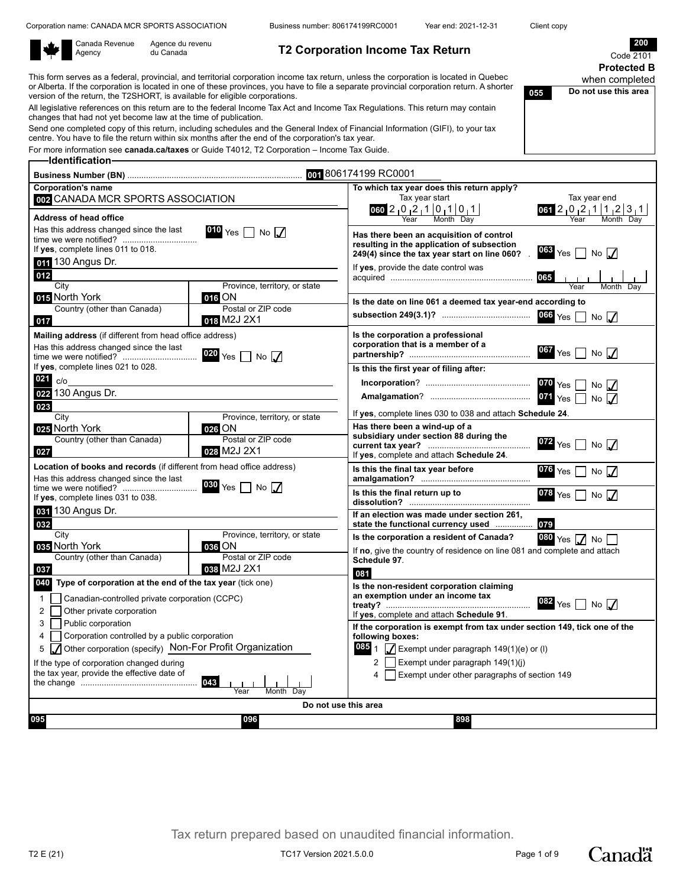Corporation name: CANADA MCR SPORTS ASSOCIATION Business number: 806174199RC0001 Year end: 2021-12-31 Client copy

**055 Do not use this area**

|  | Canada<br>Agency |
|--|------------------|
|--|------------------|

 $\Gamma$ 

Revenue Agence du revenu<br>du Canada

**T2 Corporation Income Tax Return** 

Code **Protected B** when completed

This form serves as a federal, provincial, and territorial corporation income tax return, unless the corporation is located in Quebec or Alberta. If the corporation is located in one of these provinces, you have to file a separate provincial corporation return. A shorter version of the return, the T2SHORT, is available for eligible corporations.

All legislative references on this return are to the federal Income Tax Act and Income Tax Regulations. This return may contain changes that had not yet become law at the time of publication.

Send one completed copy of this return, including schedules and the General Index of Financial Information (GIFI), to your tax centre. You have to file the return within six months after the end of the corporation's tax year.

For more information see **canada.ca/taxes** or Guide T4012, T2 Corporation – Income Tax Guide. **Identification**

|                                                                                                                  |                                                                   | 001 806174199 RC0001                                                                   |
|------------------------------------------------------------------------------------------------------------------|-------------------------------------------------------------------|----------------------------------------------------------------------------------------|
| <b>Corporation's name</b>                                                                                        |                                                                   | To which tax year does this return apply?                                              |
| 002 CANADA MCR SPORTS ASSOCIATION                                                                                |                                                                   | Tax year start<br>Tax year end                                                         |
| Address of head office                                                                                           |                                                                   | $060$ 2 0 2 1 0 1 0 1<br>$061$ 2 0 2 1 1 2 3 1<br>Month Day                            |
| Has this address changed since the last                                                                          | 010 Yes $\Box$ No $\Box$                                          |                                                                                        |
|                                                                                                                  |                                                                   | Has there been an acquisition of control<br>resulting in the application of subsection |
| If yes, complete lines 011 to 018.                                                                               |                                                                   | 063 Yes $\Box$ No $\Box$<br>249(4) since the tax year start on line 060?               |
| 011 130 Angus Dr.                                                                                                |                                                                   | If yes, provide the date control was                                                   |
| 012                                                                                                              |                                                                   |                                                                                        |
| City<br>015 North York                                                                                           | Province, territory, or state<br>$016$ ON                         | Month Dav<br>Year                                                                      |
| Country (other than Canada)                                                                                      | Postal or ZIP code                                                | Is the date on line 061 a deemed tax year-end according to                             |
| 017                                                                                                              | 018 M2J 2X1                                                       | $066$ Yes $\Box$<br>No $\sqrt{}$                                                       |
| Mailing address (if different from head office address)                                                          |                                                                   | Is the corporation a professional                                                      |
| Has this address changed since the last                                                                          |                                                                   | corporation that is a member of a                                                      |
|                                                                                                                  | $020$ Yes<br>$\overline{\phantom{a}}$ No $\overline{\phantom{a}}$ | $067$ Yes<br>No $\sqrt{}$                                                              |
| If yes, complete lines 021 to 028.                                                                               |                                                                   | Is this the first year of filing after:                                                |
| 021<br>c/o                                                                                                       |                                                                   | $No$ $\Lambda$                                                                         |
| 022 130 Angus Dr.                                                                                                |                                                                   | $071$ Yes<br>No                                                                        |
| 023                                                                                                              |                                                                   | If yes, complete lines 030 to 038 and attach Schedule 24.                              |
| City                                                                                                             | Province, territory, or state                                     | Has there been a wind-up of a                                                          |
| 025 North York<br>Country (other than Canada)                                                                    | 026 ON<br>Postal or ZIP code                                      | subsidiary under section 88 during the                                                 |
| 027                                                                                                              | 028 M2J 2X1                                                       | 072 Yes $\Box$ No $\Box$                                                               |
|                                                                                                                  |                                                                   | If yes, complete and attach Schedule 24.                                               |
| Location of books and records (if different from head office address)<br>Has this address changed since the last |                                                                   | Is this the final tax year before<br>$076$ Yes $\Box$<br>No $\Lambda$                  |
|                                                                                                                  | $030$ Yes<br>$\overline{\phantom{a}}$ No $\overline{\phantom{a}}$ |                                                                                        |
| If yes, complete lines 031 to 038.                                                                               |                                                                   | Is this the final return up to<br>078 Yes $\Box$ No $\Box$                             |
| 031 130 Angus Dr.                                                                                                |                                                                   | If an election was made under section 261,                                             |
| 032                                                                                                              |                                                                   | 079<br>state the functional currency used                                              |
| City                                                                                                             | Province, territory, or state                                     | Is the corporation a resident of Canada?<br>$080 \text{ Yes}$ $\sqrt{\phantom{0}}$ No  |
| 035 North York                                                                                                   | $036$ ON<br>Postal or ZIP code                                    | If no, give the country of residence on line 081 and complete and attach               |
| Country (other than Canada)<br>037                                                                               | 038 M2J 2X1                                                       | Schedule 97.                                                                           |
| 040 Type of corporation at the end of the tax year (tick one)                                                    |                                                                   | 081                                                                                    |
|                                                                                                                  |                                                                   | Is the non-resident corporation claiming<br>an exemption under an income tax           |
| Canadian-controlled private corporation (CCPC)<br>$\mathbf{1}$                                                   |                                                                   | $082$ Yes $\Box$ No $\Box$                                                             |
| $\overline{2}$<br>Other private corporation                                                                      |                                                                   | If yes, complete and attach Schedule 91.                                               |
| Public corporation<br>3                                                                                          |                                                                   | If the corporation is exempt from tax under section 149, tick one of the               |
| Corporation controlled by a public corporation<br>4                                                              |                                                                   | following boxes:                                                                       |
| Other corporation (specify) Non-For Profit Organization<br>5                                                     |                                                                   | 085 1 $\sqrt{ }$ Exempt under paragraph 149(1)(e) or (I)                               |
| If the type of corporation changed during<br>the tax year, provide the effective date of                         |                                                                   | 2   Exempt under paragraph 149(1)(j)                                                   |
|                                                                                                                  | 043                                                               | Exempt under other paragraphs of section 149<br>4                                      |
|                                                                                                                  | Month Dav<br>Year                                                 |                                                                                        |
|                                                                                                                  |                                                                   | Do not use this area                                                                   |
| 095                                                                                                              | 096                                                               | 898                                                                                    |
|                                                                                                                  |                                                                   |                                                                                        |

Tax return prepared based on unaudited financial information.

T2 E (21) 221.5.0.0 Page 1 of 9

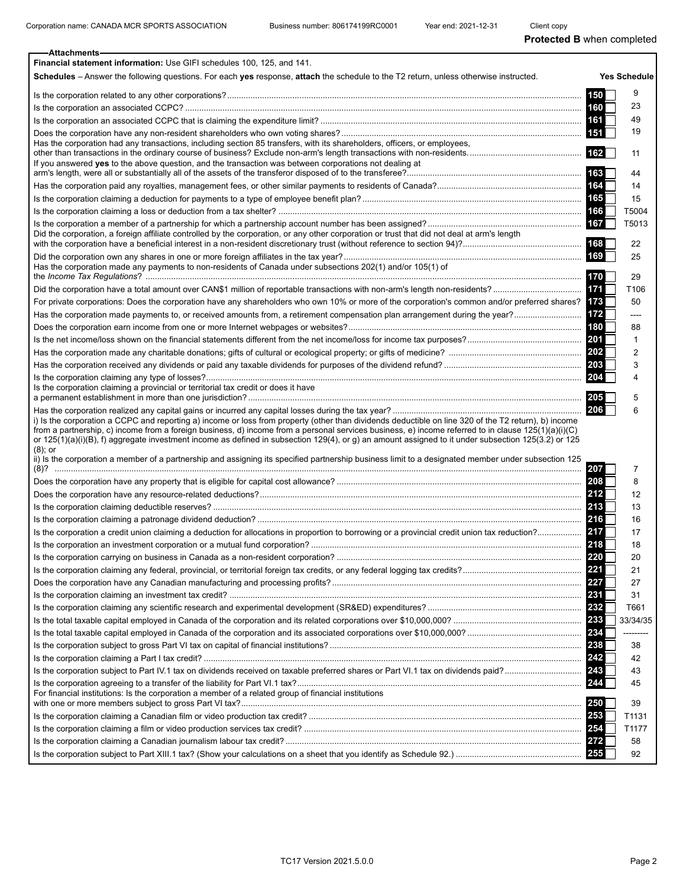| <b>Attachments</b>                                                                                                                                                                                                                                                                                                                                                                                                                                                 |            |                     |
|--------------------------------------------------------------------------------------------------------------------------------------------------------------------------------------------------------------------------------------------------------------------------------------------------------------------------------------------------------------------------------------------------------------------------------------------------------------------|------------|---------------------|
| Financial statement information: Use GIFI schedules 100, 125, and 141.                                                                                                                                                                                                                                                                                                                                                                                             |            |                     |
| Schedules – Answer the following questions. For each yes response, attach the schedule to the T2 return, unless otherwise instructed.                                                                                                                                                                                                                                                                                                                              |            | <b>Yes Schedule</b> |
|                                                                                                                                                                                                                                                                                                                                                                                                                                                                    | 150        | 9                   |
|                                                                                                                                                                                                                                                                                                                                                                                                                                                                    |            | 23                  |
|                                                                                                                                                                                                                                                                                                                                                                                                                                                                    |            | 49                  |
|                                                                                                                                                                                                                                                                                                                                                                                                                                                                    |            | 19                  |
| Has the corporation had any transactions, including section 85 transfers, with its shareholders, officers, or employees,                                                                                                                                                                                                                                                                                                                                           |            |                     |
|                                                                                                                                                                                                                                                                                                                                                                                                                                                                    |            | 11                  |
| If you answered yes to the above question, and the transaction was between corporations not dealing at                                                                                                                                                                                                                                                                                                                                                             |            | 44                  |
|                                                                                                                                                                                                                                                                                                                                                                                                                                                                    |            | 14                  |
|                                                                                                                                                                                                                                                                                                                                                                                                                                                                    |            | 15                  |
|                                                                                                                                                                                                                                                                                                                                                                                                                                                                    | 166        | T5004               |
|                                                                                                                                                                                                                                                                                                                                                                                                                                                                    | 167        | T5013               |
| Did the corporation, a foreign affiliate controlled by the corporation, or any other corporation or trust that did not deal at arm's length                                                                                                                                                                                                                                                                                                                        |            |                     |
|                                                                                                                                                                                                                                                                                                                                                                                                                                                                    |            | 22                  |
|                                                                                                                                                                                                                                                                                                                                                                                                                                                                    | 169        | 25                  |
| Has the corporation made any payments to non-residents of Canada under subsections 202(1) and/or 105(1) of                                                                                                                                                                                                                                                                                                                                                         |            |                     |
|                                                                                                                                                                                                                                                                                                                                                                                                                                                                    | 170        | 29                  |
|                                                                                                                                                                                                                                                                                                                                                                                                                                                                    | 171        | T106                |
| For private corporations: Does the corporation have any shareholders who own 10% or more of the corporation's common and/or preferred shares? 173                                                                                                                                                                                                                                                                                                                  |            | 50                  |
|                                                                                                                                                                                                                                                                                                                                                                                                                                                                    | 172        | ----                |
|                                                                                                                                                                                                                                                                                                                                                                                                                                                                    | 180        | 88                  |
|                                                                                                                                                                                                                                                                                                                                                                                                                                                                    | <b>201</b> | 1                   |
|                                                                                                                                                                                                                                                                                                                                                                                                                                                                    |            | 2                   |
|                                                                                                                                                                                                                                                                                                                                                                                                                                                                    | 203        | 3                   |
| Is the corporation claiming a provincial or territorial tax credit or does it have                                                                                                                                                                                                                                                                                                                                                                                 | 204        | 4                   |
|                                                                                                                                                                                                                                                                                                                                                                                                                                                                    | 205        | 5                   |
|                                                                                                                                                                                                                                                                                                                                                                                                                                                                    | 206        | 6                   |
| i) Is the corporation a CCPC and reporting a) income or loss from property (other than dividends deductible on line 320 of the T2 return), b) income<br>from a partnership, c) income from a foreign business, d) income from a personal services business, e) income referred to in clause 125(1)(a)(i)(C)<br>or 125(1)(a)(i)(B), f) aggregate investment income as defined in subsection 129(4), or g) an amount assigned to it under subsection 125(3.2) or 125 |            |                     |
| (8); or<br>ii) Is the corporation a member of a partnership and assigning its specified partnership business limit to a designated member under subsection 125                                                                                                                                                                                                                                                                                                     |            |                     |
|                                                                                                                                                                                                                                                                                                                                                                                                                                                                    | 1207       | 7                   |
|                                                                                                                                                                                                                                                                                                                                                                                                                                                                    |            | 8                   |
|                                                                                                                                                                                                                                                                                                                                                                                                                                                                    | 212        | 12                  |
|                                                                                                                                                                                                                                                                                                                                                                                                                                                                    | 213        | 13                  |
|                                                                                                                                                                                                                                                                                                                                                                                                                                                                    | 216        | 16                  |
|                                                                                                                                                                                                                                                                                                                                                                                                                                                                    | 217        | 17                  |
|                                                                                                                                                                                                                                                                                                                                                                                                                                                                    | 218        | 18                  |
|                                                                                                                                                                                                                                                                                                                                                                                                                                                                    | 220        | 20                  |
|                                                                                                                                                                                                                                                                                                                                                                                                                                                                    | 221        | 21                  |
|                                                                                                                                                                                                                                                                                                                                                                                                                                                                    | 227        | 27                  |
|                                                                                                                                                                                                                                                                                                                                                                                                                                                                    | 231        | 31                  |
|                                                                                                                                                                                                                                                                                                                                                                                                                                                                    | 232        | T661                |
|                                                                                                                                                                                                                                                                                                                                                                                                                                                                    | 233        | 33/34/35            |
|                                                                                                                                                                                                                                                                                                                                                                                                                                                                    | 234        | ---------           |
|                                                                                                                                                                                                                                                                                                                                                                                                                                                                    | 238        | 38                  |
|                                                                                                                                                                                                                                                                                                                                                                                                                                                                    | 242        | 42                  |
|                                                                                                                                                                                                                                                                                                                                                                                                                                                                    | 243        | 43                  |
| For financial institutions: Is the corporation a member of a related group of financial institutions                                                                                                                                                                                                                                                                                                                                                               | 244<br>250 | 45<br>39            |
|                                                                                                                                                                                                                                                                                                                                                                                                                                                                    | 253        | T1131               |
|                                                                                                                                                                                                                                                                                                                                                                                                                                                                    | 254        | T1177               |
|                                                                                                                                                                                                                                                                                                                                                                                                                                                                    | 272        | 58                  |
|                                                                                                                                                                                                                                                                                                                                                                                                                                                                    | 255        | 92                  |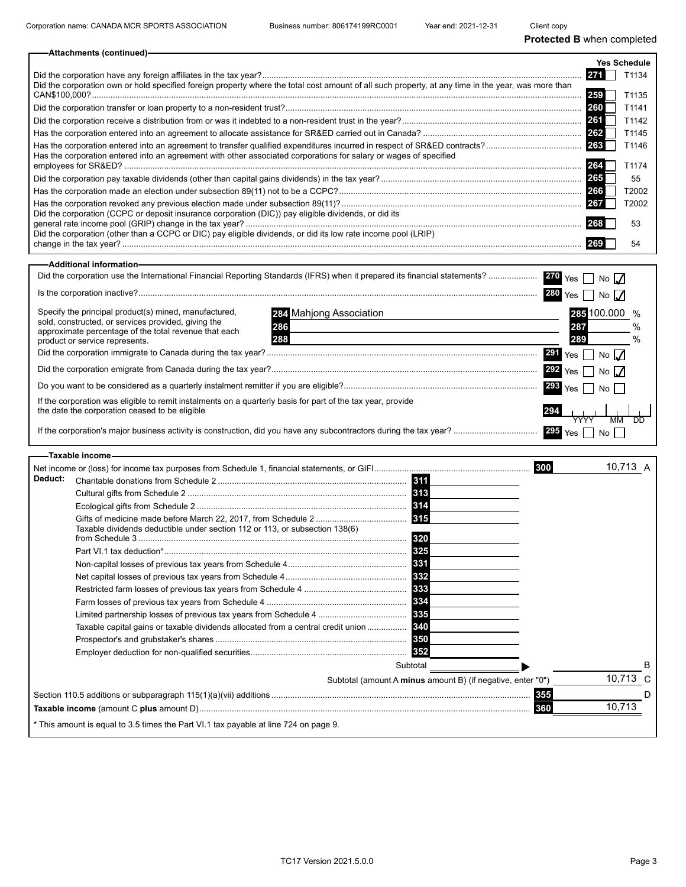| -Attachments (continued)-                                                                                                                           |     |              |
|-----------------------------------------------------------------------------------------------------------------------------------------------------|-----|--------------|
|                                                                                                                                                     |     | Yes Schedule |
|                                                                                                                                                     |     | T1134        |
| Did the corporation own or hold specified foreign property where the total cost amount of all such property, at any time in the year, was more than | 259 | T1135        |
|                                                                                                                                                     | 260 | T1141        |
|                                                                                                                                                     | 261 | T1142        |
|                                                                                                                                                     |     | T1145        |
| Has the corporation entered into an agreement with other associated corporations for salary or wages of specified                                   |     | T1146        |
|                                                                                                                                                     |     | T1174        |
|                                                                                                                                                     | 265 | 55           |
|                                                                                                                                                     | 266 | T2002        |
|                                                                                                                                                     |     | T2002        |
| Did the corporation (CCPC or deposit insurance corporation (DIC)) pay eligible dividends, or did its                                                |     | 53           |
| Did the corporation (other than a CCPC or DIC) pay eligible dividends, or did its low rate income pool (LRIP)                                       |     | 54           |
| -Additional information-                                                                                                                            |     |              |

|                                                                                                                                                                                                                                                  | $270\,$ Yes $\Box$<br>No $\sqrt{}$                             |  |
|--------------------------------------------------------------------------------------------------------------------------------------------------------------------------------------------------------------------------------------------------|----------------------------------------------------------------|--|
| $Is the corporation inactive?\dots 2.25$                                                                                                                                                                                                         | 280<br>No $\sqrt{}$<br>Yes                                     |  |
| Specify the principal product(s) mined, manufactured,<br>284 Mahjong Association<br>sold, constructed, or services provided, giving the<br>286<br>approximate percentage of the total revenue that each<br>288<br>product or service represents. | 100.000<br>285<br>287<br>289<br>291<br>$\Box$ No $\Box$<br>Yes |  |
|                                                                                                                                                                                                                                                  | $292$ Yes<br>No $\sqrt{ }$                                     |  |
|                                                                                                                                                                                                                                                  | $293$ Yes $\lceil$<br>No l                                     |  |
| If the corporation was eligible to remit instalments on a quarterly basis for part of the tax year, provide<br>the date the corporation ceased to be eligible                                                                                    | 294<br><b>MM</b>                                               |  |
|                                                                                                                                                                                                                                                  | Yes<br>No I                                                    |  |
| –Taxable income-                                                                                                                                                                                                                                 |                                                                |  |
| Deduct:<br>311                                                                                                                                                                                                                                   | 10.713 A<br>300                                                |  |
| 313                                                                                                                                                                                                                                              |                                                                |  |

| <u> Unaniable donalions from Schedule 2 …………………………………………………………………</u>                | юш                                                          |          |  |
|--------------------------------------------------------------------------------------|-------------------------------------------------------------|----------|--|
|                                                                                      | 313                                                         |          |  |
|                                                                                      | <b>314</b>                                                  |          |  |
| Taxable dividends deductible under section 112 or 113, or subsection 138(6)          | 315<br>320                                                  |          |  |
|                                                                                      | 325                                                         |          |  |
|                                                                                      | 331                                                         |          |  |
|                                                                                      | 332                                                         |          |  |
|                                                                                      | 333                                                         |          |  |
|                                                                                      |                                                             |          |  |
|                                                                                      | 335                                                         |          |  |
| Taxable capital gains or taxable dividends allocated from a central credit union     | 340                                                         |          |  |
|                                                                                      | 350                                                         |          |  |
|                                                                                      |                                                             |          |  |
|                                                                                      | Subtotal                                                    |          |  |
|                                                                                      | Subtotal (amount A minus amount B) (if negative, enter "0") | 10,713 C |  |
|                                                                                      | 355                                                         |          |  |
|                                                                                      | 360                                                         | 10.713   |  |
| * This amount is equal to 3.5 times the Part VI.1 tax payable at line 724 on page 9. |                                                             |          |  |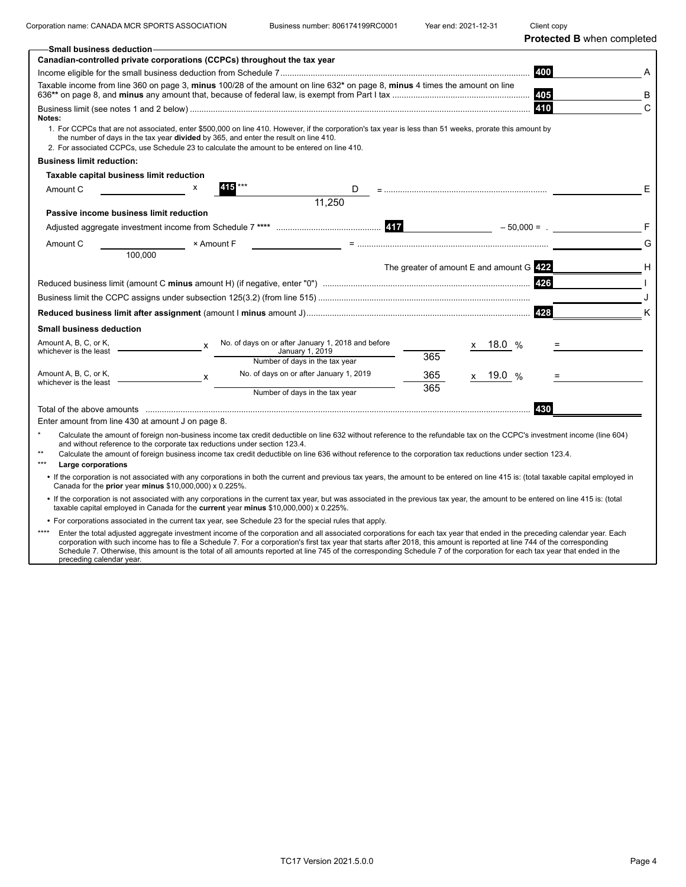Corporation name: CANADA MCR SPORTS ASSOCIATION Business number: 806174199RC0001 Year end: 2021-12-31 Client copy

**Protected B** when completed

| <b>Small business deduction-</b>                                                                                                                                                                                                                                                                                                                                |   |                                                    |        |                                              |          |      |      |               |              |
|-----------------------------------------------------------------------------------------------------------------------------------------------------------------------------------------------------------------------------------------------------------------------------------------------------------------------------------------------------------------|---|----------------------------------------------------|--------|----------------------------------------------|----------|------|------|---------------|--------------|
| Canadian-controlled private corporations (CCPCs) throughout the tax year                                                                                                                                                                                                                                                                                        |   |                                                    |        |                                              |          |      |      |               |              |
|                                                                                                                                                                                                                                                                                                                                                                 |   |                                                    |        |                                              |          |      |      | 400           |              |
| Taxable income from line 360 on page 3, minus 100/28 of the amount on line 632* on page 8, minus 4 times the amount on line                                                                                                                                                                                                                                     |   |                                                    |        |                                              |          |      |      | 405           | в            |
| Notes:<br>1. For CCPCs that are not associated, enter \$500,000 on line 410. However, if the corporation's tax year is less than 51 weeks, prorate this amount by<br>the number of days in the tax year <b>divided</b> by 365, and enter the result on line 410.<br>2. For associated CCPCs, use Schedule 23 to calculate the amount to be entered on line 410. |   |                                                    |        |                                              |          |      |      | 410           | $\mathsf{C}$ |
| <b>Business limit reduction:</b>                                                                                                                                                                                                                                                                                                                                |   |                                                    |        |                                              |          |      |      |               |              |
| Taxable capital business limit reduction                                                                                                                                                                                                                                                                                                                        |   |                                                    |        |                                              |          |      |      |               |              |
| Amount C                                                                                                                                                                                                                                                                                                                                                        |   |                                                    | D      |                                              |          |      |      |               | Е            |
|                                                                                                                                                                                                                                                                                                                                                                 |   |                                                    | 11,250 |                                              |          |      |      |               |              |
| Passive income business limit reduction                                                                                                                                                                                                                                                                                                                         |   |                                                    |        |                                              |          |      |      |               |              |
|                                                                                                                                                                                                                                                                                                                                                                 |   |                                                    |        |                                              |          |      |      | $-50,000 = .$ |              |
| Amount C                                                                                                                                                                                                                                                                                                                                                        |   | × Amount F                                         |        |                                              |          |      |      |               | G            |
| 100.000                                                                                                                                                                                                                                                                                                                                                         |   |                                                    |        |                                              |          |      |      |               |              |
|                                                                                                                                                                                                                                                                                                                                                                 |   |                                                    |        | The greater of amount $E$ and amount $G$ 422 |          |      |      |               | Н            |
|                                                                                                                                                                                                                                                                                                                                                                 |   |                                                    |        |                                              |          |      |      | 426           |              |
|                                                                                                                                                                                                                                                                                                                                                                 |   |                                                    |        |                                              |          |      |      |               |              |
|                                                                                                                                                                                                                                                                                                                                                                 |   |                                                    |        |                                              |          |      |      | 428           | K            |
| Small business deduction                                                                                                                                                                                                                                                                                                                                        |   |                                                    |        |                                              |          |      |      |               |              |
| Amount A, B, C, or K,                                                                                                                                                                                                                                                                                                                                           | X | No. of days on or after January 1, 2018 and before |        |                                              | x        | 18.0 | $\%$ |               |              |
| whichever is the least                                                                                                                                                                                                                                                                                                                                          |   | January 1, 2019<br>Number of days in the tax year  |        | 365                                          |          |      |      |               |              |
| Amount A, B, C, or K,                                                                                                                                                                                                                                                                                                                                           |   | No. of days on or after January 1, 2019            |        | 365                                          | <b>X</b> | 19.0 |      |               |              |
| whichever is the least                                                                                                                                                                                                                                                                                                                                          | x |                                                    |        | 365                                          |          |      |      |               |              |
|                                                                                                                                                                                                                                                                                                                                                                 |   | Number of days in the tax year                     |        |                                              |          |      |      |               |              |
| Total of the above amounts with the community control to the control of the control of the above amounts with the state of the state of the state and the state of the state of the state of the state of the state of the sta                                                                                                                                  |   |                                                    |        |                                              |          |      |      | 430           |              |
| Enter amount from line 430 at amount J on page 8.                                                                                                                                                                                                                                                                                                               |   |                                                    |        |                                              |          |      |      |               |              |
| $\star$<br>Calculate the amount of foreign non-business income tax credit deductible on line 632 without reference to the refundable tax on the CCPC's investment income (line 604)<br>and without reference to the corporate tax reductions under section 123.4.                                                                                               |   |                                                    |        |                                              |          |      |      |               |              |
| $**$<br>Calculate the amount of foreign business income tax credit deductible on line 636 without reference to the corporation tax reductions under section 123.4.                                                                                                                                                                                              |   |                                                    |        |                                              |          |      |      |               |              |
| $***$<br>Large corporations                                                                                                                                                                                                                                                                                                                                     |   |                                                    |        |                                              |          |      |      |               |              |
| • If the corporation is not associated with any corporations in both the current and previous tax years, the amount to be entered on line 415 is: (total taxable capital employed in<br>Canada for the prior year minus \$10,000,000) x 0.225%.                                                                                                                 |   |                                                    |        |                                              |          |      |      |               |              |
| . If the corporation is not associated with any corporations in the current tax year, but was associated in the previous tax year, the amount to be entered on line 415 is: (total<br>taxable capital employed in Canada for the current year minus \$10,000,000) x 0.225%.                                                                                     |   |                                                    |        |                                              |          |      |      |               |              |
| • For corporations associated in the current tax year, see Schedule 23 for the special rules that apply.                                                                                                                                                                                                                                                        |   |                                                    |        |                                              |          |      |      |               |              |

\*\*\*\*\* Enter the total adjusted aggregate investment income of the corporation and all associated corporations for each tax year that ended in the preceding calendar year. Each<br>corporation with such income has to file a Schedul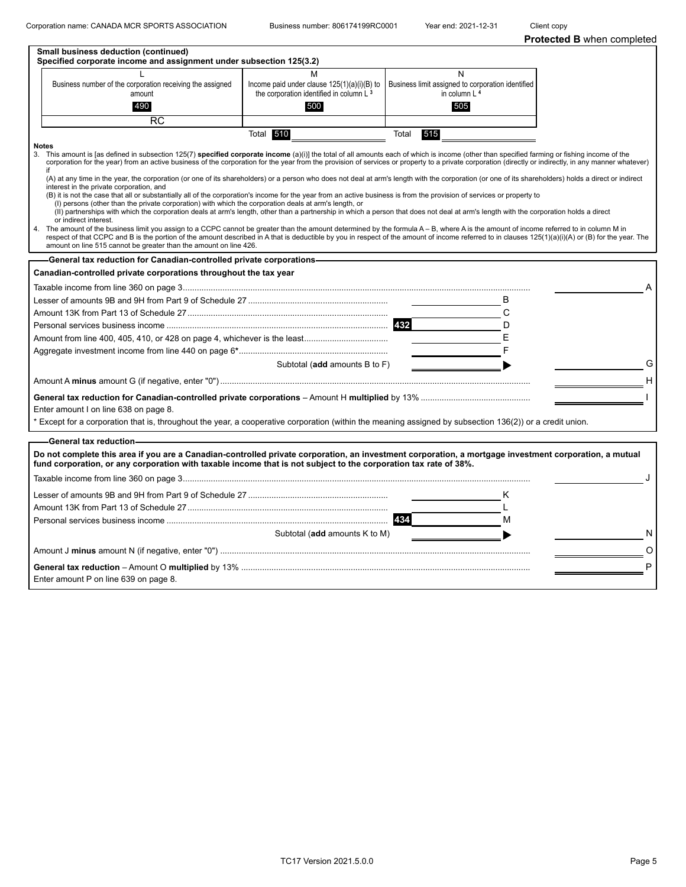|              | Small business deduction (continued)<br>Specified corporate income and assignment under subsection 125(3.2)                                                                                                                                                                                                                                                                                                                                                        |                                                            |              |                                                   |   |
|--------------|--------------------------------------------------------------------------------------------------------------------------------------------------------------------------------------------------------------------------------------------------------------------------------------------------------------------------------------------------------------------------------------------------------------------------------------------------------------------|------------------------------------------------------------|--------------|---------------------------------------------------|---|
|              |                                                                                                                                                                                                                                                                                                                                                                                                                                                                    | М                                                          |              | $\mathsf{N}$                                      |   |
|              | Business number of the corporation receiving the assigned                                                                                                                                                                                                                                                                                                                                                                                                          | Income paid under clause $125(1)(a)(i)(B)$ to              |              | Business limit assigned to corporation identified |   |
|              | amount<br>490                                                                                                                                                                                                                                                                                                                                                                                                                                                      | the corporation identified in column L <sup>3</sup><br>500 |              | in column L <sup>4</sup><br>505                   |   |
|              |                                                                                                                                                                                                                                                                                                                                                                                                                                                                    |                                                            |              |                                                   |   |
|              | <b>RC</b>                                                                                                                                                                                                                                                                                                                                                                                                                                                          |                                                            |              |                                                   |   |
| <b>Notes</b> |                                                                                                                                                                                                                                                                                                                                                                                                                                                                    | Total 510                                                  | Total<br>515 |                                                   |   |
| if           | 3. This amount is [as defined in subsection 125(7) specified corporate income (a)(i)] the total of all amounts each of which is income (other than specified farming or fishing income of the<br>corporation for the year) from an active business of the corporation for the year from the provision of services or property to a private corporation (directly or indirectly, in any manner whatever)                                                            |                                                            |              |                                                   |   |
|              | (A) at any time in the year, the corporation (or one of its shareholders) or a person who does not deal at arm's length with the corporation (or one of its shareholders) holds a direct or indirect<br>interest in the private corporation, and                                                                                                                                                                                                                   |                                                            |              |                                                   |   |
|              | (B) it is not the case that all or substantially all of the corporation's income for the year from an active business is from the provision of services or property to<br>(I) persons (other than the private corporation) with which the corporation deals at arm's length, or                                                                                                                                                                                    |                                                            |              |                                                   |   |
|              | (II) partnerships with which the corporation deals at arm's length, other than a partnership in which a person that does not deal at arm's length with the corporation holds a direct<br>or indirect interest.                                                                                                                                                                                                                                                     |                                                            |              |                                                   |   |
|              | 4. The amount of the business limit you assign to a CCPC cannot be greater than the amount determined by the formula A - B, where A is the amount of income referred to in column M in<br>respect of that CCPC and B is the portion of the amount described in A that is deductible by you in respect of the amount of income referred to in clauses 125(1)(a)(i)(A) or (B) for the year. The<br>amount on line 515 cannot be greater than the amount on line 426. |                                                            |              |                                                   |   |
|              | -General tax reduction for Canadian-controlled private corporations-                                                                                                                                                                                                                                                                                                                                                                                               |                                                            |              |                                                   |   |
|              | Canadian-controlled private corporations throughout the tax year                                                                                                                                                                                                                                                                                                                                                                                                   |                                                            |              |                                                   |   |
|              |                                                                                                                                                                                                                                                                                                                                                                                                                                                                    |                                                            |              |                                                   |   |
|              |                                                                                                                                                                                                                                                                                                                                                                                                                                                                    |                                                            |              | В                                                 |   |
|              |                                                                                                                                                                                                                                                                                                                                                                                                                                                                    |                                                            |              | C                                                 |   |
|              |                                                                                                                                                                                                                                                                                                                                                                                                                                                                    |                                                            |              | D                                                 |   |
|              |                                                                                                                                                                                                                                                                                                                                                                                                                                                                    |                                                            |              | Е                                                 |   |
|              |                                                                                                                                                                                                                                                                                                                                                                                                                                                                    |                                                            |              | F                                                 |   |
|              |                                                                                                                                                                                                                                                                                                                                                                                                                                                                    | Subtotal (add amounts B to F)                              |              |                                                   | G |
|              |                                                                                                                                                                                                                                                                                                                                                                                                                                                                    |                                                            |              |                                                   | Н |
|              |                                                                                                                                                                                                                                                                                                                                                                                                                                                                    |                                                            |              |                                                   |   |
|              | Enter amount I on line 638 on page 8.                                                                                                                                                                                                                                                                                                                                                                                                                              |                                                            |              |                                                   |   |
|              | * Except for a corporation that is, throughout the year, a cooperative corporation (within the meaning assigned by subsection 136(2)) or a credit union.                                                                                                                                                                                                                                                                                                           |                                                            |              |                                                   |   |
|              |                                                                                                                                                                                                                                                                                                                                                                                                                                                                    |                                                            |              |                                                   |   |
|              | -General tax reduction-                                                                                                                                                                                                                                                                                                                                                                                                                                            |                                                            |              |                                                   |   |
|              | Do not complete this area if you are a Canadian-controlled private corporation, an investment corporation, a mortgage investment corporation, a mutual<br>fund corporation, or any corporation with taxable income that is not subject to the corporation tax rate of 38%.                                                                                                                                                                                         |                                                            |              |                                                   |   |
|              |                                                                                                                                                                                                                                                                                                                                                                                                                                                                    |                                                            |              |                                                   |   |
|              |                                                                                                                                                                                                                                                                                                                                                                                                                                                                    |                                                            |              |                                                   |   |
|              |                                                                                                                                                                                                                                                                                                                                                                                                                                                                    |                                                            |              |                                                   |   |
|              |                                                                                                                                                                                                                                                                                                                                                                                                                                                                    |                                                            |              | м                                                 |   |
|              |                                                                                                                                                                                                                                                                                                                                                                                                                                                                    | Subtotal (add amounts K to M)                              |              |                                                   | N |
|              |                                                                                                                                                                                                                                                                                                                                                                                                                                                                    |                                                            |              |                                                   |   |
|              |                                                                                                                                                                                                                                                                                                                                                                                                                                                                    |                                                            |              |                                                   | P |
|              | Enter amount P on line 639 on page 8.                                                                                                                                                                                                                                                                                                                                                                                                                              |                                                            |              |                                                   |   |
|              |                                                                                                                                                                                                                                                                                                                                                                                                                                                                    |                                                            |              |                                                   |   |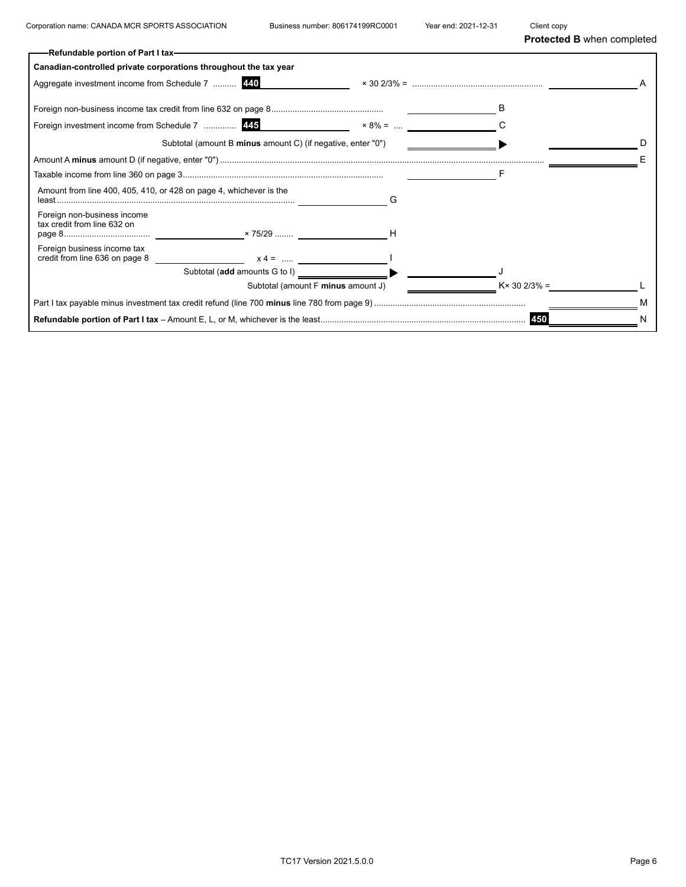|                                                                    | -Refundable portion of Part I tax-                          |                |                      |  |
|--------------------------------------------------------------------|-------------------------------------------------------------|----------------|----------------------|--|
| Canadian-controlled private corporations throughout the tax year   |                                                             |                |                      |  |
| Aggregate investment income from Schedule 7  440                   |                                                             |                |                      |  |
|                                                                    |                                                             |                |                      |  |
|                                                                    | Foreign investment income from Schedule 7  445              | $\times 8\% =$ |                      |  |
|                                                                    | Subtotal (amount B minus amount C) (if negative, enter "0") |                |                      |  |
|                                                                    |                                                             |                |                      |  |
|                                                                    |                                                             |                |                      |  |
| Amount from line 400, 405, 410, or 428 on page 4, whichever is the |                                                             |                |                      |  |
| Foreign non-business income<br>tax credit from line 632 on         |                                                             |                |                      |  |
| Foreign business income tax                                        |                                                             |                |                      |  |
|                                                                    | Subtotal (add amounts G to I)                               |                |                      |  |
|                                                                    | Subtotal (amount F minus amount J)                          |                | $K \times 302/3\% =$ |  |
|                                                                    |                                                             |                |                      |  |
|                                                                    |                                                             |                | 450                  |  |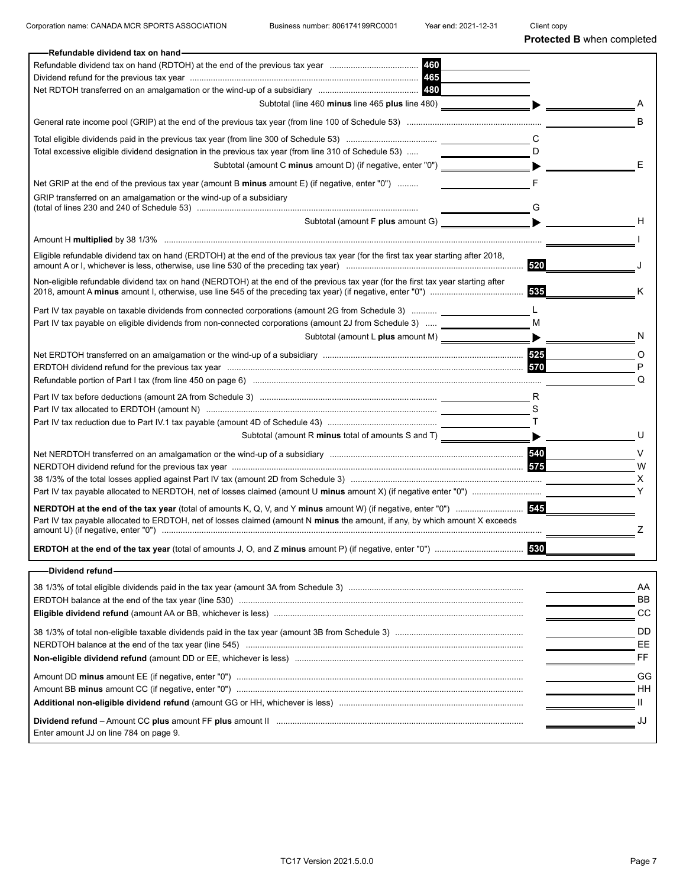| Refundable dividend tax on hand-                                                                                                                                                                                                                                                                                                                               |     |        |
|----------------------------------------------------------------------------------------------------------------------------------------------------------------------------------------------------------------------------------------------------------------------------------------------------------------------------------------------------------------|-----|--------|
|                                                                                                                                                                                                                                                                                                                                                                |     |        |
|                                                                                                                                                                                                                                                                                                                                                                |     |        |
|                                                                                                                                                                                                                                                                                                                                                                |     |        |
| Subtotal (line 460 minus line 465 plus line 480)                                                                                                                                                                                                                                                                                                               |     |        |
|                                                                                                                                                                                                                                                                                                                                                                |     | в      |
|                                                                                                                                                                                                                                                                                                                                                                |     |        |
| Total excessive eligible dividend designation in the previous tax year (from line 310 of Schedule 53)                                                                                                                                                                                                                                                          | D   |        |
| Subtotal (amount C minus amount D) (if negative, enter "0")                                                                                                                                                                                                                                                                                                    |     | Е      |
| Net GRIP at the end of the previous tax year (amount B minus amount E) (if negative, enter "0")                                                                                                                                                                                                                                                                |     |        |
| GRIP transferred on an amalgamation or the wind-up of a subsidiary                                                                                                                                                                                                                                                                                             |     |        |
| Subtotal (amount F plus amount G)                                                                                                                                                                                                                                                                                                                              |     | н      |
|                                                                                                                                                                                                                                                                                                                                                                |     |        |
|                                                                                                                                                                                                                                                                                                                                                                |     |        |
| Eligible refundable dividend tax on hand (ERDTOH) at the end of the previous tax year (for the first tax year starting after 2018,                                                                                                                                                                                                                             | 520 |        |
| Non-eligible refundable dividend tax on hand (NERDTOH) at the end of the previous tax year (for the first tax year starting after                                                                                                                                                                                                                              | 535 | Κ      |
| Part IV tax payable on taxable dividends from connected corporations (amount 2G from Schedule 3)  __                                                                                                                                                                                                                                                           | L   |        |
| Part IV tax payable on eligible dividends from non-connected corporations (amount 2J from Schedule 3)                                                                                                                                                                                                                                                          | М   |        |
| Subtotal (amount L plus amount M) _________________                                                                                                                                                                                                                                                                                                            |     |        |
|                                                                                                                                                                                                                                                                                                                                                                |     |        |
|                                                                                                                                                                                                                                                                                                                                                                |     | O<br>P |
|                                                                                                                                                                                                                                                                                                                                                                |     | Q      |
|                                                                                                                                                                                                                                                                                                                                                                |     |        |
|                                                                                                                                                                                                                                                                                                                                                                | R   |        |
|                                                                                                                                                                                                                                                                                                                                                                |     |        |
| Subtotal (amount R minus total of amounts S and T) ____                                                                                                                                                                                                                                                                                                        |     | U      |
|                                                                                                                                                                                                                                                                                                                                                                |     |        |
|                                                                                                                                                                                                                                                                                                                                                                |     | V      |
|                                                                                                                                                                                                                                                                                                                                                                |     | W      |
| 38 1/3% of the total losses applied against Part IV tax (amount 2D from Schedule 3) ……………………………………………………………………………………                                                                                                                                                                                                                                           |     | X      |
|                                                                                                                                                                                                                                                                                                                                                                |     |        |
|                                                                                                                                                                                                                                                                                                                                                                | 545 |        |
| Part IV tax payable allocated to ERDTOH, net of losses claimed (amount N minus the amount, if any, by which amount X exceeds<br>amount U) (if negative, enter "0") matter and the control of the control of the control of the control of the control of the control of the control of the control of the control of the control of the control of the control |     | z      |
|                                                                                                                                                                                                                                                                                                                                                                | 530 |        |
| Dividend refund-                                                                                                                                                                                                                                                                                                                                               |     |        |
|                                                                                                                                                                                                                                                                                                                                                                |     | AA     |
|                                                                                                                                                                                                                                                                                                                                                                |     | BB     |
|                                                                                                                                                                                                                                                                                                                                                                |     | CC     |
|                                                                                                                                                                                                                                                                                                                                                                |     | DD     |
|                                                                                                                                                                                                                                                                                                                                                                |     | EE     |
|                                                                                                                                                                                                                                                                                                                                                                |     | FF.    |
|                                                                                                                                                                                                                                                                                                                                                                |     | GG     |
|                                                                                                                                                                                                                                                                                                                                                                |     | HН     |
|                                                                                                                                                                                                                                                                                                                                                                |     | Ш.     |
|                                                                                                                                                                                                                                                                                                                                                                |     |        |
| Enter amount JJ on line 784 on page 9.                                                                                                                                                                                                                                                                                                                         |     | JJ     |
|                                                                                                                                                                                                                                                                                                                                                                |     |        |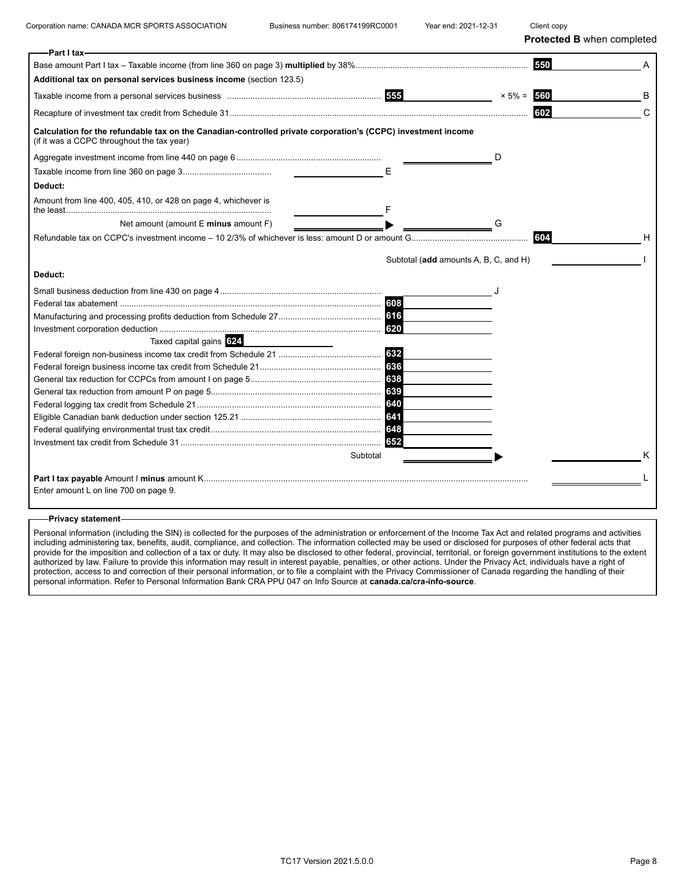| -Part I tax-                                                                                                                                               |                                       |               |   |
|------------------------------------------------------------------------------------------------------------------------------------------------------------|---------------------------------------|---------------|---|
|                                                                                                                                                            |                                       | 550           |   |
| Additional tax on personal services business income (section 123.5)                                                                                        |                                       |               |   |
|                                                                                                                                                            |                                       | $× 5\% = 560$ | в |
|                                                                                                                                                            |                                       | 602           | C |
| Calculation for the refundable tax on the Canadian-controlled private corporation's (CCPC) investment income<br>(if it was a CCPC throughout the tax year) |                                       |               |   |
|                                                                                                                                                            |                                       | D             |   |
|                                                                                                                                                            | E                                     |               |   |
| Deduct:                                                                                                                                                    |                                       |               |   |
| Amount from line 400, 405, 410, or 428 on page 4, whichever is                                                                                             |                                       |               |   |
| Net amount (amount E minus amount F)                                                                                                                       |                                       | G             |   |
|                                                                                                                                                            |                                       | 604           |   |
|                                                                                                                                                            |                                       |               |   |
|                                                                                                                                                            | Subtotal (add amounts A, B, C, and H) |               |   |
| Deduct:                                                                                                                                                    |                                       |               |   |
|                                                                                                                                                            |                                       |               |   |
|                                                                                                                                                            | 608                                   |               |   |
|                                                                                                                                                            |                                       |               |   |
|                                                                                                                                                            | 620                                   |               |   |
| Taxed capital gains 624                                                                                                                                    |                                       |               |   |
|                                                                                                                                                            | 632                                   |               |   |
|                                                                                                                                                            | 636                                   |               |   |
|                                                                                                                                                            | 638                                   |               |   |
|                                                                                                                                                            | 639                                   |               |   |
|                                                                                                                                                            |                                       |               |   |
|                                                                                                                                                            |                                       |               |   |
|                                                                                                                                                            |                                       |               |   |
|                                                                                                                                                            | 652                                   |               |   |
|                                                                                                                                                            | Subtotal                              |               |   |
|                                                                                                                                                            |                                       |               |   |
| Enter amount L on line 700 on page 9.                                                                                                                      |                                       |               |   |
|                                                                                                                                                            |                                       |               |   |

#### **Privacy statement**

Personal information (including the SIN) is collected for the purposes of the administration or enforcement of the Income Tax Act and related programs and activities including administering tax, benefits, audit, compliance, and collection. The information collected may be used or disclosed for purposes of other federal acts that provide for the imposition and collection of a tax or duty. It may also be disclosed to other federal, provincial, territorial, or foreign government institutions to the extent authorized by law. Failure to provide this information may result in interest payable, penalties, or other actions. Under the Privacy Act, individuals have a right of protection, access to and correction of their personal information, or to file a complaint with the Privacy Commissioner of Canada regarding the handling of their personal information. Refer to Personal Information Bank CRA PPU 047 on Info Source at **canada.ca/cra-info-source**.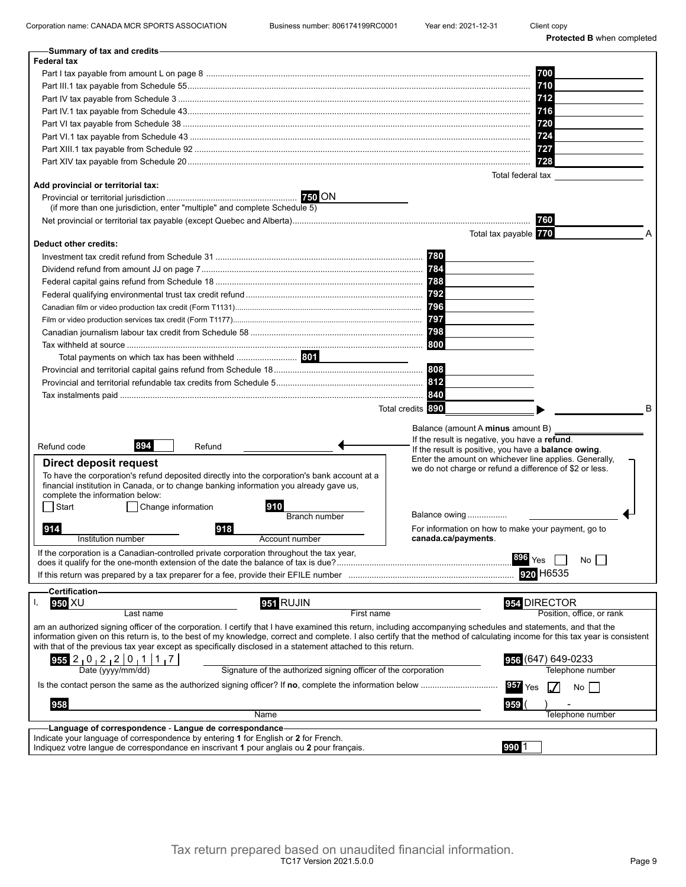Corporation name: CANADA MCR SPORTS ASSOCIATION Business number: 806174199RC0001 Year end: 2021-12-31 Client copy

| -Summary of tax and credits                                                                                                                                                                                                                                                                                                                    |                                                                           |
|------------------------------------------------------------------------------------------------------------------------------------------------------------------------------------------------------------------------------------------------------------------------------------------------------------------------------------------------|---------------------------------------------------------------------------|
| <b>Federal tax</b>                                                                                                                                                                                                                                                                                                                             |                                                                           |
|                                                                                                                                                                                                                                                                                                                                                | 700                                                                       |
|                                                                                                                                                                                                                                                                                                                                                | 710                                                                       |
|                                                                                                                                                                                                                                                                                                                                                | 712                                                                       |
|                                                                                                                                                                                                                                                                                                                                                |                                                                           |
|                                                                                                                                                                                                                                                                                                                                                | 720                                                                       |
|                                                                                                                                                                                                                                                                                                                                                | 724                                                                       |
|                                                                                                                                                                                                                                                                                                                                                | 727                                                                       |
|                                                                                                                                                                                                                                                                                                                                                | 728                                                                       |
|                                                                                                                                                                                                                                                                                                                                                | Total federal tax                                                         |
| Add provincial or territorial tax:                                                                                                                                                                                                                                                                                                             |                                                                           |
|                                                                                                                                                                                                                                                                                                                                                |                                                                           |
| (if more than one jurisdiction, enter "multiple" and complete Schedule 5)                                                                                                                                                                                                                                                                      |                                                                           |
|                                                                                                                                                                                                                                                                                                                                                | 760                                                                       |
|                                                                                                                                                                                                                                                                                                                                                | Total tax payable 770                                                     |
| Deduct other credits:                                                                                                                                                                                                                                                                                                                          |                                                                           |
|                                                                                                                                                                                                                                                                                                                                                | 780                                                                       |
|                                                                                                                                                                                                                                                                                                                                                |                                                                           |
|                                                                                                                                                                                                                                                                                                                                                |                                                                           |
|                                                                                                                                                                                                                                                                                                                                                |                                                                           |
|                                                                                                                                                                                                                                                                                                                                                | 796                                                                       |
|                                                                                                                                                                                                                                                                                                                                                | 797                                                                       |
|                                                                                                                                                                                                                                                                                                                                                | 798                                                                       |
|                                                                                                                                                                                                                                                                                                                                                | 800                                                                       |
|                                                                                                                                                                                                                                                                                                                                                |                                                                           |
| Total payments on which tax has been withheld  801                                                                                                                                                                                                                                                                                             |                                                                           |
|                                                                                                                                                                                                                                                                                                                                                | 808                                                                       |
|                                                                                                                                                                                                                                                                                                                                                |                                                                           |
|                                                                                                                                                                                                                                                                                                                                                | 840                                                                       |
|                                                                                                                                                                                                                                                                                                                                                | Total credits 890<br>в                                                    |
|                                                                                                                                                                                                                                                                                                                                                | Balance (amount A minus amount B)                                         |
|                                                                                                                                                                                                                                                                                                                                                | If the result is negative, you have a refund.                             |
| 894<br>Refund code<br>Refund                                                                                                                                                                                                                                                                                                                   | If the result is positive, you have a <b>balance owing</b> .              |
| <b>Direct deposit request</b>                                                                                                                                                                                                                                                                                                                  | Enter the amount on whichever line applies. Generally,                    |
| To have the corporation's refund deposited directly into the corporation's bank account at a                                                                                                                                                                                                                                                   | we do not charge or refund a difference of \$2 or less.                   |
| financial institution in Canada, or to change banking information you already gave us,                                                                                                                                                                                                                                                         |                                                                           |
| complete the information below:                                                                                                                                                                                                                                                                                                                |                                                                           |
| Start<br>Change information<br>910                                                                                                                                                                                                                                                                                                             | Balance owing                                                             |
| <b>Branch number</b>                                                                                                                                                                                                                                                                                                                           |                                                                           |
| 918<br>914<br>Institution number<br>Account number                                                                                                                                                                                                                                                                                             | For information on how to make your payment, go to<br>canada.ca/payments. |
|                                                                                                                                                                                                                                                                                                                                                |                                                                           |
| If the corporation is a Canadian-controlled private corporation throughout the tax year,                                                                                                                                                                                                                                                       | 896<br>No l<br>Yes                                                        |
|                                                                                                                                                                                                                                                                                                                                                | 920 H6535                                                                 |
|                                                                                                                                                                                                                                                                                                                                                |                                                                           |
| <b>Certification</b>                                                                                                                                                                                                                                                                                                                           |                                                                           |
| 951 RUJIN<br>950 XU                                                                                                                                                                                                                                                                                                                            | 954 DIRECTOR                                                              |
| Last name                                                                                                                                                                                                                                                                                                                                      | First name<br>Position, office, or rank                                   |
| am an authorized signing officer of the corporation. I certify that I have examined this return, including accompanying schedules and statements, and that the<br>information given on this return is, to the best of my knowledge, correct and complete. I also certify that the method of calculating income for this tax year is consistent |                                                                           |
| with that of the previous tax year except as specifically disclosed in a statement attached to this return.                                                                                                                                                                                                                                    |                                                                           |
|                                                                                                                                                                                                                                                                                                                                                | 956 (647) 649-0233                                                        |
| Signature of the authorized signing officer of the corporation                                                                                                                                                                                                                                                                                 | Telephone number                                                          |
|                                                                                                                                                                                                                                                                                                                                                |                                                                           |
| Is the contact person the same as the authorized signing officer? If no, complete the information below                                                                                                                                                                                                                                        | 957<br>Yes<br>No                                                          |
| 958                                                                                                                                                                                                                                                                                                                                            | 959                                                                       |
| Name                                                                                                                                                                                                                                                                                                                                           | Telephone number                                                          |
| -Language of correspondence - Langue de correspondance-                                                                                                                                                                                                                                                                                        |                                                                           |
| Indicate your language of correspondence by entering 1 for English or 2 for French.                                                                                                                                                                                                                                                            |                                                                           |
| Indiquez votre langue de correspondance en inscrivant 1 pour anglais ou 2 pour français.                                                                                                                                                                                                                                                       | 990                                                                       |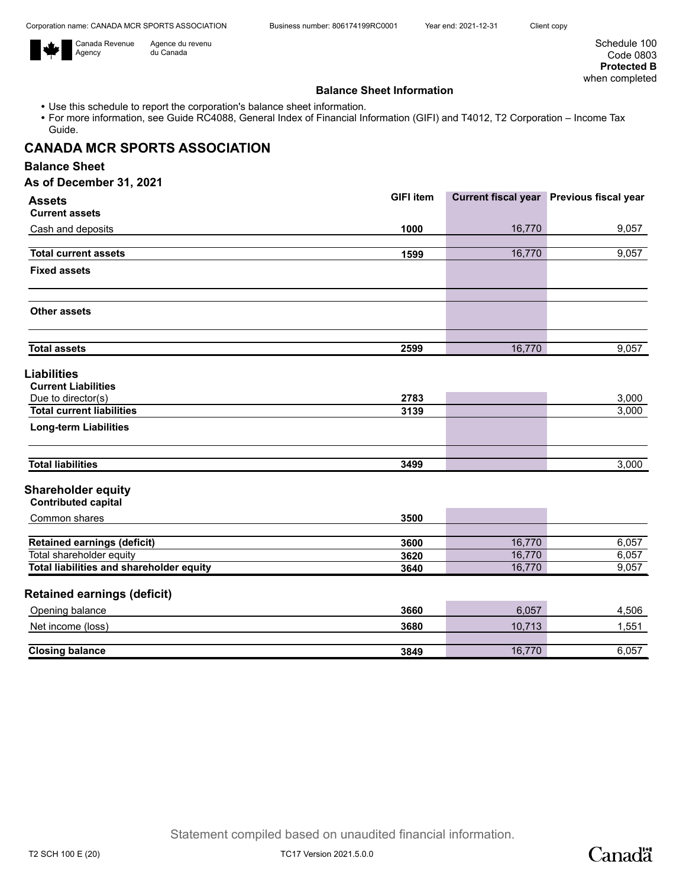

Agence du revenu du Canada

Schedule 100 Code 0803 **Protected B** when completed

### **Balance Sheet Information**

- Use this schedule to report the corporation's balance sheet information.
- For more information, see Guide RC4088, General Index of Financial Information (GIFI) and T4012, T2 Corporation Income Tax Guide.

# **CANADA MCR SPORTS ASSOCIATION**

## **Balance Sheet**

| <b>Assets</b>                    | <b>GIFI</b> item |        | Current fiscal year Previous fiscal year |
|----------------------------------|------------------|--------|------------------------------------------|
| <b>Current assets</b>            |                  |        |                                          |
| Cash and deposits                | 1000             | 16,770 | 9,057                                    |
|                                  |                  |        |                                          |
| <b>Total current assets</b>      | 1599             | 16,770 | 9,057                                    |
| <b>Fixed assets</b>              |                  |        |                                          |
| <b>Other assets</b>              |                  |        |                                          |
| <b>Total assets</b>              | 2599             | 16,770 | 9,057                                    |
| <b>Liabilities</b>               |                  |        |                                          |
| <b>Current Liabilities</b>       |                  |        |                                          |
| Due to director(s)               | 2783             |        | 3,000                                    |
| <b>Total current liabilities</b> | 3139             |        | 3,000                                    |
| <b>Long-term Liabilities</b>     |                  |        |                                          |
| <b>Total liabilities</b>         | 3499             |        | 3,000                                    |

| Common shares                            | 3500 |        |       |
|------------------------------------------|------|--------|-------|
|                                          |      |        |       |
| <b>Retained earnings (deficit)</b>       | 3600 | 16.770 | 6,057 |
| Total shareholder equity                 | 3620 | 16.770 | 6,057 |
| Total liabilities and shareholder equity | 3640 | 16.770 | 9,057 |

## **Retained earnings (deficit)**

| Opening balance        | 3660 | 6,057      | 4.506 |
|------------------------|------|------------|-------|
| Net income (loss)      | 3680 | 10,713     | .551  |
|                        |      |            |       |
| <b>Closing balance</b> | 3849 | 770<br>16. | 6,057 |

T2 SCH 100 E (20) TC17 Version 2021.5.0.0

Canadä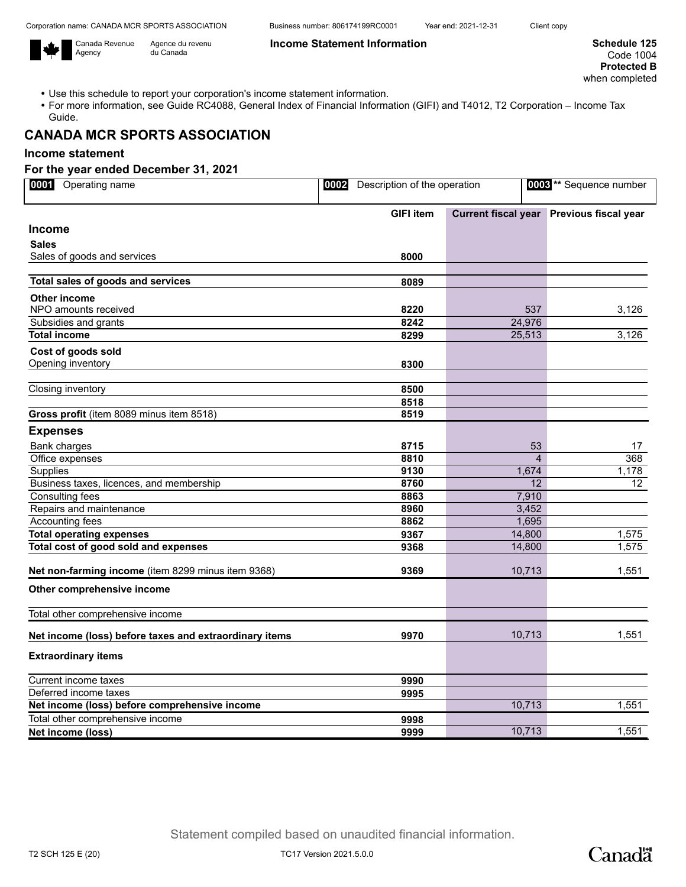Canada Revenue Agency



Use this schedule to report your corporation's income statement information.

Agence du revenu du Canada

 For more information, see Guide RC4088, General Index of Financial Information (GIFI) and T4012, T2 Corporation – Income Tax Guide.

# **CANADA MCR SPORTS ASSOCIATION**

## **Income statement**

### **For the year ended December 31, 2021**

| Operating name<br>0001                                 | 0002 Description of the operation |                | 0003 <sup>**</sup> Sequence number       |
|--------------------------------------------------------|-----------------------------------|----------------|------------------------------------------|
|                                                        | <b>GIFI</b> item                  |                | Current fiscal year Previous fiscal year |
| <b>Income</b>                                          |                                   |                |                                          |
| <b>Sales</b>                                           |                                   |                |                                          |
| Sales of goods and services                            | 8000                              |                |                                          |
| Total sales of goods and services                      | 8089                              |                |                                          |
| <b>Other income</b>                                    |                                   |                |                                          |
| NPO amounts received                                   | 8220                              | 537            | 3,126                                    |
| Subsidies and grants                                   | 8242                              | 24,976         |                                          |
| <b>Total income</b>                                    | 8299                              | 25,513         | 3,126                                    |
| Cost of goods sold                                     |                                   |                |                                          |
| Opening inventory                                      | 8300                              |                |                                          |
|                                                        |                                   |                |                                          |
| Closing inventory                                      | 8500                              |                |                                          |
|                                                        | 8518                              |                |                                          |
| Gross profit (item 8089 minus item 8518)               | 8519                              |                |                                          |
| <b>Expenses</b>                                        |                                   |                |                                          |
| Bank charges                                           | 8715                              | 53             | 17                                       |
| Office expenses                                        | 8810                              | $\overline{4}$ | 368                                      |
| <b>Supplies</b>                                        | 9130                              | 1,674          | 1,178                                    |
| Business taxes, licences, and membership               | 8760                              | 12             | 12 <sup>2</sup>                          |
| <b>Consulting fees</b>                                 | 8863                              | 7,910          |                                          |
| Repairs and maintenance                                | 8960                              | 3,452          |                                          |
| Accounting fees                                        | 8862                              | 1,695          |                                          |
| <b>Total operating expenses</b>                        | 9367                              | 14,800         | 1,575                                    |
| Total cost of good sold and expenses                   | 9368                              | 14,800         | 1,575                                    |
| Net non-farming income (item 8299 minus item 9368)     | 9369                              | 10,713         | 1,551                                    |
| Other comprehensive income                             |                                   |                |                                          |
| Total other comprehensive income                       |                                   |                |                                          |
| Net income (loss) before taxes and extraordinary items | 9970                              | 10,713         | 1,551                                    |
| <b>Extraordinary items</b>                             |                                   |                |                                          |
| Current income taxes                                   | 9990                              |                |                                          |
| Deferred income taxes                                  | 9995                              |                |                                          |
| Net income (loss) before comprehensive income          |                                   | 10,713         | 1,551                                    |
| Total other comprehensive income                       | 9998                              |                |                                          |
| Net income (loss)                                      | 9999                              | 10,713         | 1,551                                    |

Statement compiled based on unaudited financial information.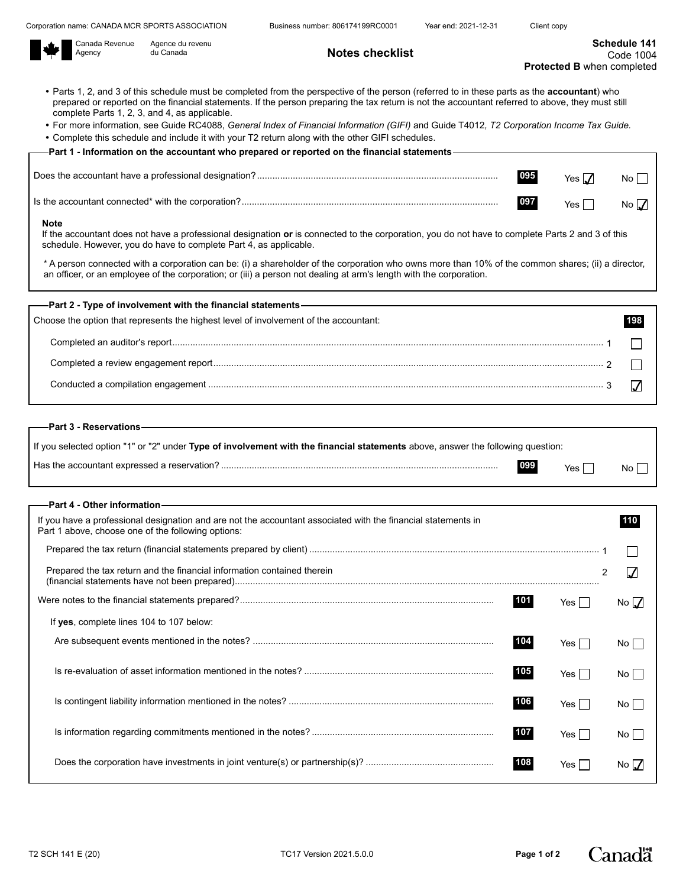**Notes checklist** 



Agence du revenu<br>du Canada

- Parts 1, 2, and 3 of this schedule must be completed from the perspective of the person (referred to in these parts as the **accountant**) who prepared or reported on the financial statements. If the person preparing the tax return is not the accountant referred to above, they must still complete Parts 1, 2, 3, and 4, as applicable.
- For more information, see Guide RC4088, *General Index of Financial Information (GIFI)* and Guide T4012*, T2 Corporation Income Tax Guide.*
- Complete this schedule and include it with your T2 return along with the other GIFI schedules.

| ——Part 1 - Information on the accountant who prepared or reported on the financial statements— |     |            |                 |
|------------------------------------------------------------------------------------------------|-----|------------|-----------------|
|                                                                                                |     |            |                 |
|                                                                                                | 095 | Yes $\Pi$  | No <sub>1</sub> |
|                                                                                                | 097 | $Yes \Box$ | No $\sqrt{ }$   |
|                                                                                                |     |            |                 |

#### **Note**

If the accountant does not have a professional designation **or** is connected to the corporation, you do not have to complete Parts 2 and 3 of this schedule. However, you do have to complete Part 4, as applicable.

\* A person connected with a corporation can be: (i) a shareholder of the corporation who owns more than 10% of the common shares; (ii) a director, an officer, or an employee of the corporation; or (iii) a person not dealing at arm's length with the corporation.

| —–Part 2 - Type of involvement with the financial statements—————————————————————————— |  |
|----------------------------------------------------------------------------------------|--|
| Choose the option that represents the highest level of involvement of the accountant:  |  |
|                                                                                        |  |
|                                                                                        |  |
|                                                                                        |  |
|                                                                                        |  |

### **Part 3 - Reservations**

| If you selected option "1" or "2" under Type of involvement with the financial statements above, answer the following question: |     |     |    |
|---------------------------------------------------------------------------------------------------------------------------------|-----|-----|----|
|                                                                                                                                 | 099 | Yes | No |

| —Part 4 - Other information– |  |
|------------------------------|--|
|------------------------------|--|

| If you have a professional designation and are not the accountant associated with the financial statements in<br>Part 1 above, choose one of the following options: |     |         |                  |
|---------------------------------------------------------------------------------------------------------------------------------------------------------------------|-----|---------|------------------|
|                                                                                                                                                                     |     |         |                  |
| Prepared the tax return and the financial information contained therein                                                                                             |     |         |                  |
|                                                                                                                                                                     | 101 | Yes II  | No $\mathcal{M}$ |
| If yes, complete lines 104 to 107 below:                                                                                                                            |     |         |                  |
|                                                                                                                                                                     | 104 | Yes     | No L             |
|                                                                                                                                                                     | 105 | Yes I ା | Nol              |
|                                                                                                                                                                     | 106 | Yes I ା | No l             |
|                                                                                                                                                                     | 107 | Yes     | No l             |
|                                                                                                                                                                     | 108 | Yes I   | No $\Lambda$     |